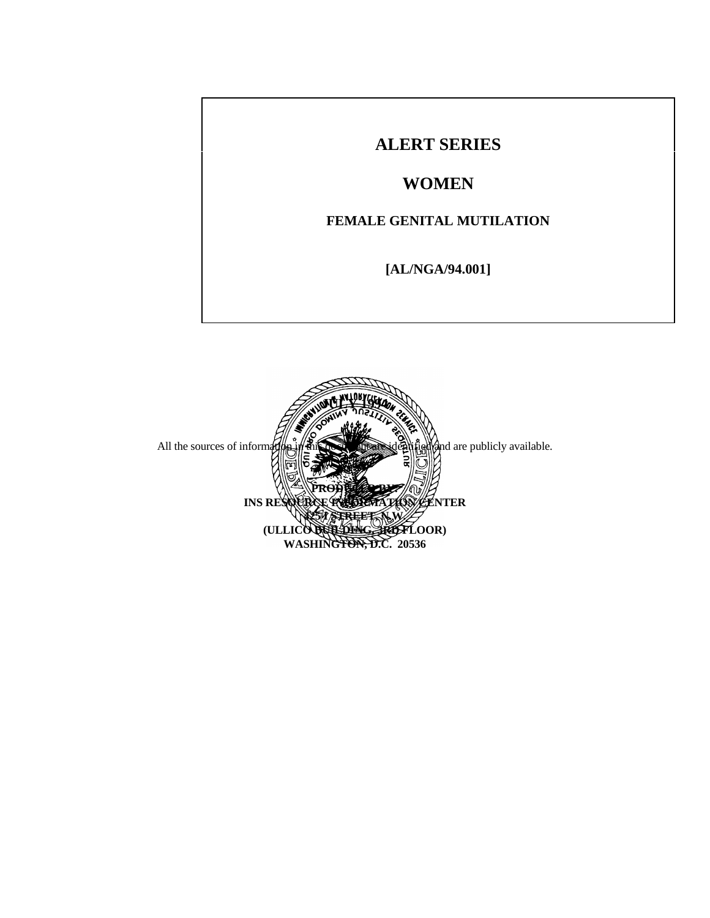# **ALERT SERIES WOMEN FEMALE GENITAL MUTILATION [AL/NGA/94.001]**

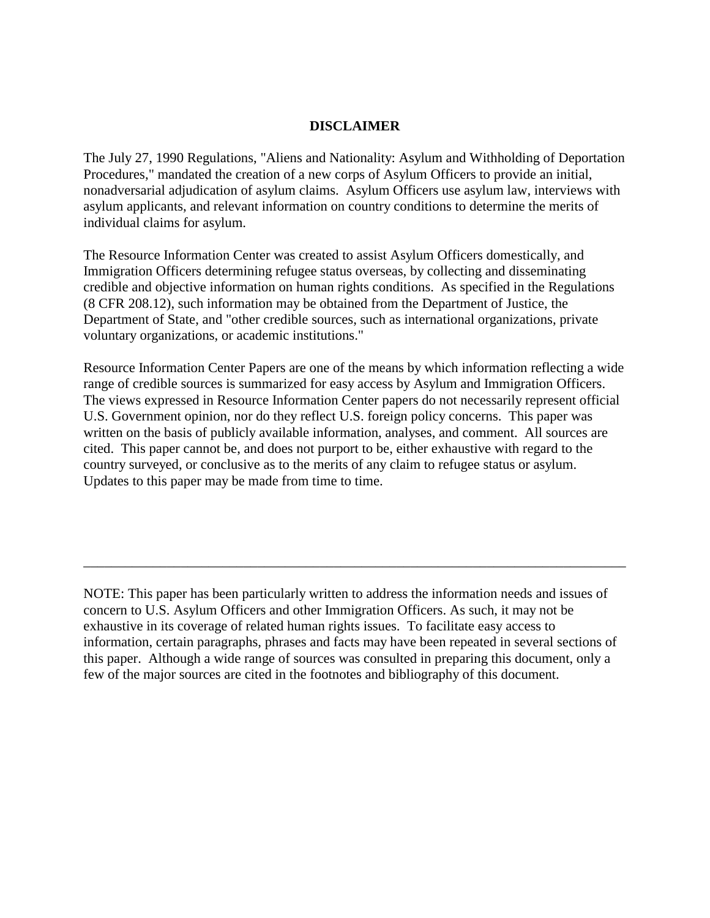# **DISCLAIMER**

The July 27, 1990 Regulations, "Aliens and Nationality: Asylum and Withholding of Deportation Procedures," mandated the creation of a new corps of Asylum Officers to provide an initial, nonadversarial adjudication of asylum claims. Asylum Officers use asylum law, interviews with asylum applicants, and relevant information on country conditions to determine the merits of individual claims for asylum.

The Resource Information Center was created to assist Asylum Officers domestically, and Immigration Officers determining refugee status overseas, by collecting and disseminating credible and objective information on human rights conditions. As specified in the Regulations (8 CFR 208.12), such information may be obtained from the Department of Justice, the Department of State, and "other credible sources, such as international organizations, private voluntary organizations, or academic institutions."

Resource Information Center Papers are one of the means by which information reflecting a wide range of credible sources is summarized for easy access by Asylum and Immigration Officers. The views expressed in Resource Information Center papers do not necessarily represent official U.S. Government opinion, nor do they reflect U.S. foreign policy concerns. This paper was written on the basis of publicly available information, analyses, and comment. All sources are cited. This paper cannot be, and does not purport to be, either exhaustive with regard to the country surveyed, or conclusive as to the merits of any claim to refugee status or asylum. Updates to this paper may be made from time to time.

NOTE: This paper has been particularly written to address the information needs and issues of concern to U.S. Asylum Officers and other Immigration Officers. As such, it may not be exhaustive in its coverage of related human rights issues. To facilitate easy access to information, certain paragraphs, phrases and facts may have been repeated in several sections of this paper. Although a wide range of sources was consulted in preparing this document, only a few of the major sources are cited in the footnotes and bibliography of this document.

\_\_\_\_\_\_\_\_\_\_\_\_\_\_\_\_\_\_\_\_\_\_\_\_\_\_\_\_\_\_\_\_\_\_\_\_\_\_\_\_\_\_\_\_\_\_\_\_\_\_\_\_\_\_\_\_\_\_\_\_\_\_\_\_\_\_\_\_\_\_\_\_\_\_\_\_\_\_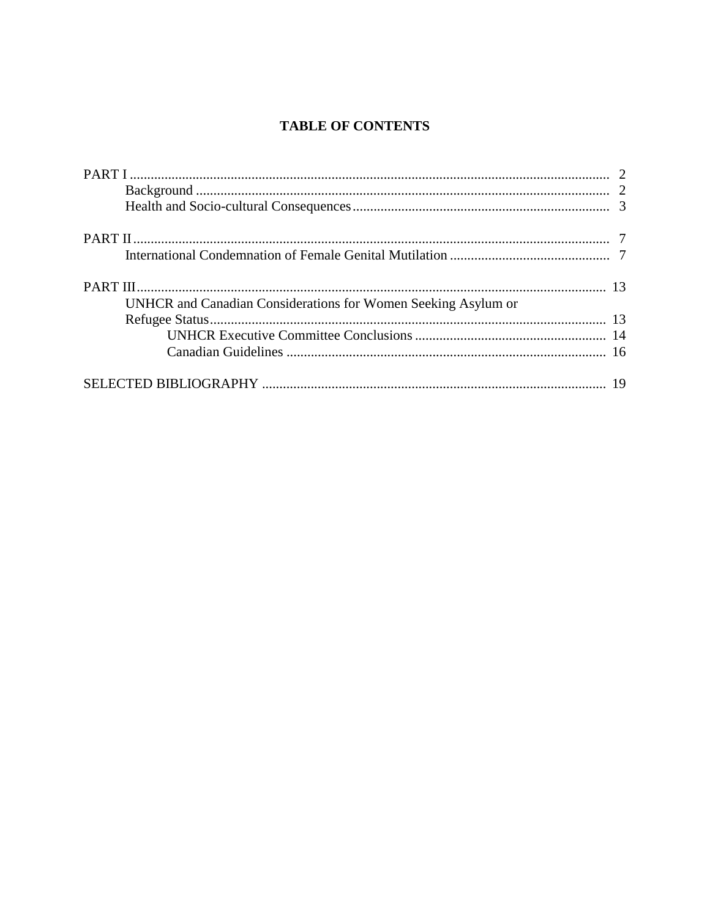# **TABLE OF CONTENTS**

| UNHCR and Canadian Considerations for Women Seeking Asylum or |  |
|---------------------------------------------------------------|--|
|                                                               |  |
|                                                               |  |
|                                                               |  |
|                                                               |  |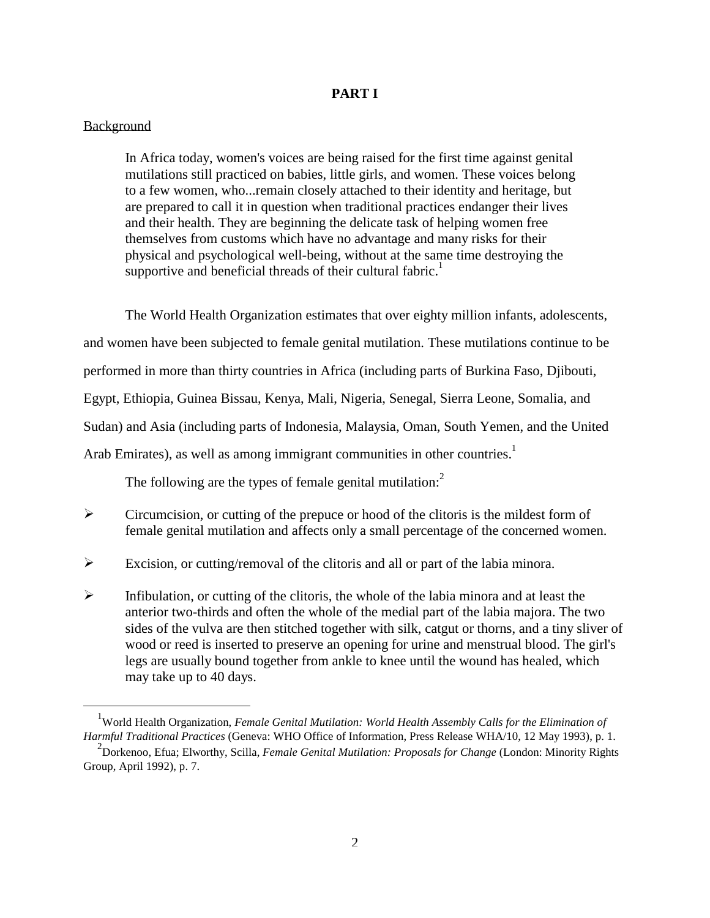### **PART I**

#### Background

j

 In Africa today, women's voices are being raised for the first time against genital mutilations still practiced on babies, little girls, and women. These voices belong to a few women, who...remain closely attached to their identity and heritage, but are prepared to call it in question when traditional practices endanger their lives and their health. They are beginning the delicate task of helping women free themselves from customs which have no advantage and many risks for their physical and psychological well-being, without at the sa[m](#page-23-0)e time destroying the supportive and beneficial threads of their cultural fabric.<sup>1</sup>

 The World Health Organization estimates that over eighty million infants, adolescents, and women have been subjected to female genital mutilation. These mutilations continue to be performed in more than thirty countries in Africa (including parts of Burkina Faso, Djibouti, Egypt, Ethiopia, Guinea Bissau, Kenya, Mali, Nigeria, Senegal, Sierra Leone, Somalia, and Sudan) and Asia (including parts of Indonesia, Malaysia, Oman, South Yemen, and the United Arab Emirates), as well as among immigrant communities in other countries.<sup>1</sup>

The following are the types of female genital mutilation:<sup>2</sup>

- $\triangleright$  Circumcision, or cutting of the prepuce or hood of the clitoris is the mildest form of female genital mutilation and affects only a small percentage of the concerned women.
- Excision, or cutting/removal of the clitoris and all or part of the labia minora.
- $\triangleright$  Infibulation, or cutting of the clitoris, the whole of the labia minora and at least the anterior two-thirds and often the whole of the medial part of the labia majora. The two sides of the vulva are then stitched together with silk, catgut or thorns, and a tiny sliver of wood or reed is inserted to preserve an opening for urine and menstrual blood. The girl's legs are usually bound together from ankle to knee until the wound has healed, which may take up to 40 days.

<sup>&</sup>lt;sup>1</sup>World Health Organization, *Female Genital Mutilation: World Health Assembly Calls for the Elimination of Harmful Traditional Practices* (Geneva: WHO Office of Information, Press Release WHA/10, 12 May 1993), p. 1.

<sup>&</sup>lt;sup>2</sup> Dorkenoo, Efua; Elworthy, Scilla, *Female Genital Mutilation: Proposals for Change* (London: Minority Rights Group, April 1992), p. 7.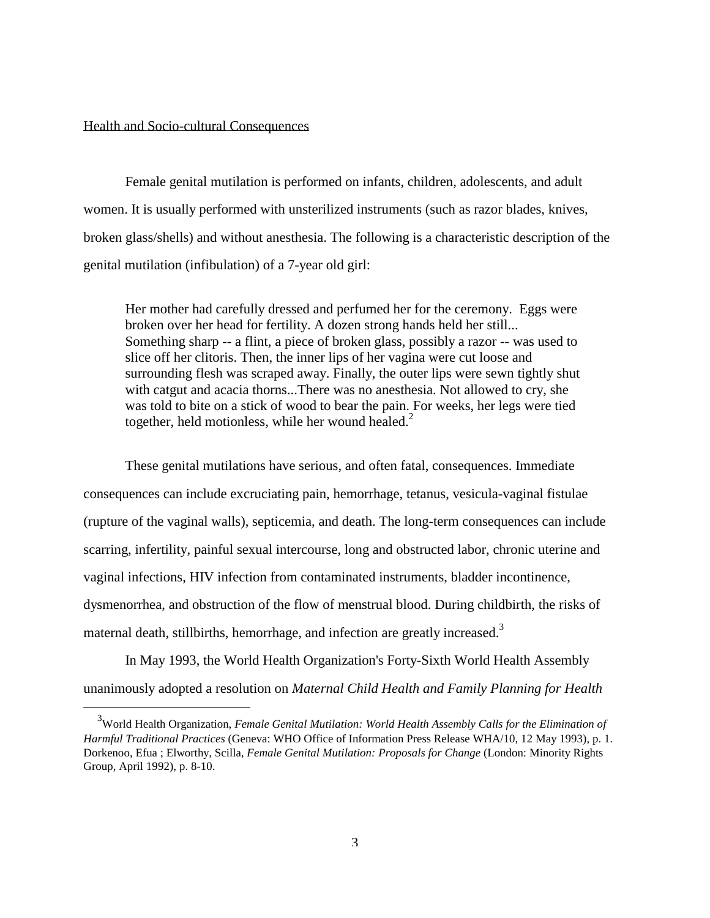#### Health and Socio-cultural Consequences

j

 Female genital mutilation is performed on infants, children, adolescents, and adult women. It is usually performed with unsterilized instruments (such as razor blades, knives, broken glass/shells) and without anesthesia. The following is a characteristic description of the genital mutilation (infibulation) of a 7-year old girl:

 Her mother had carefully dressed and perfumed her for the ceremony. Eggs were broken over her head for fertility. A dozen strong hands held her still... Something sharp -- a flint, a piece of broken glass, possibly a razor -- was used to slice off her clitoris. Then, the inner lips of her vagina were cut loose and surrounding flesh was scraped away. Finally, the outer lips were sewn tightly shut with catgut and acacia thorns...There was no anesthesia. Not allowed to cry, she was told to bite on a stick of wood to bear the pain[. F](#page-23-0)or weeks, her legs were tied together, held motionless, while her wound healed.<sup>2</sup>

 These genital mutilations have serious, and often fatal, consequences. Immediate consequences can include excruciating pain, hemorrhage, tetanus, vesicula-vaginal fistulae (rupture of the vaginal walls), septicemia, and death. The long-term consequences can include scarring, infertility, painful sexual intercourse, long and obstructed labor, chronic uterine and vaginal infections, HIV infection from contaminated instruments, bladder incontinence, dysmenorrhea, and obstruction of the flow of menstrual blood. During childbirth, the risks of maternal death, stillbirths, hemorrhage, and infection are greatly increased.<sup>3</sup>

 In May 1993, the World Health Organization's Forty-Sixth World Health Assembly unanimously adopted a resolution on *Maternal Child Health and Family Planning for Health*

<sup>3</sup> World Health Organization, *Female Genital Mutilation: World Health Assembly Calls for the Elimination of Harmful Traditional Practices* (Geneva: WHO Office of Information Press Release WHA/10, 12 May 1993), p. 1. Dorkenoo, Efua ; Elworthy, Scilla, *Female Genital Mutilation: Proposals for Change* (London: Minority Rights Group, April 1992), p. 8-10.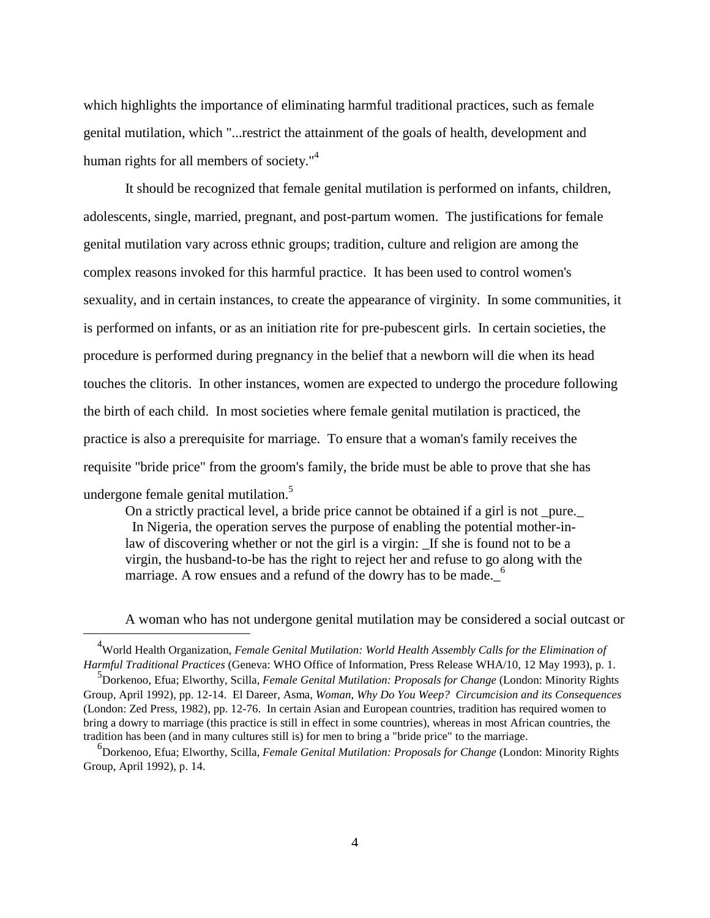which highlights the importance of eliminating harmful traditional practices, such as female genital mutilation, which "...restrict the attainment of the goals of health, development and human rights for all members of society."<sup>4</sup>

 It should be recognized that female genital mutilation is performed on infants, children, adolescents, single, married, pregnant, and post-partum women. The justifications for female genital mutilation vary across ethnic groups; tradition, culture and religion are among the complex reasons invoked for this harmful practice. It has been used to control women's sexuality, and in certain instances, to create the appearance of virginity. In some communities, it is performed on infants, or as an initiation rite for pre-pubescent girls. In certain societies, the procedure is performed during pregnancy in the belief that a newborn will die when its head touches the clitoris. In other instances, women are expected to undergo the procedure following the birth of each child. In most societies where female genital mutilation is practiced, the practice is also a prerequisite for marriage. To ensure that a woman's family receives the requisite "bride price" from the groom's family, the bride must be able to prove that she has undergone female genital mutilation.<sup>5</sup>

 On a strictly practical level, a bride price cannot be obtained if a girl is not \_pure.\_ In Nigeria, the operation serves the purpose of enabling the potential mother-inlaw of discovering whether or not the girl is a virgin: If she is found not to be a virgin, the husband-to-be has the right to reject her and refuse to go along with the marriage. A row ensues and a refund of the dowry has to be made.  $<sup>6</sup>$ </sup>

A woman who has not undergone genital mutilation may be considered a social outcast or

<sup>4</sup> World Health Organization, *Female Genital Mutilation: World Health Assembly Calls for the Elimination of Harmful Traditional Practices* (Geneva: WHO Office of Information, Press Release WHA/10, 12 May 1993), p. 1.

<sup>5</sup> Dorkenoo, Efua; Elworthy, Scilla, *Female Genital Mutilation: Proposals for Change* (London: Minority Rights Group, April 1992), pp. 12-14. El Dareer, Asma, *Woman, Why Do You Weep? Circumcision and its Consequences* (London: Zed Press, 1982), pp. 12-76. In certain Asian and European countries, tradition has required women to bring a dowry to marriage (this practice is still in effect in some countries), whereas in most African countries, the tradition has been (and in many cultures still is) for men to bring a "bride price" to the marriage.

<sup>6</sup> Dorkenoo, Efua; Elworthy, Scilla, *Female Genital Mutilation: Proposals for Change* (London: Minority Rights Group, April 1992), p. 14.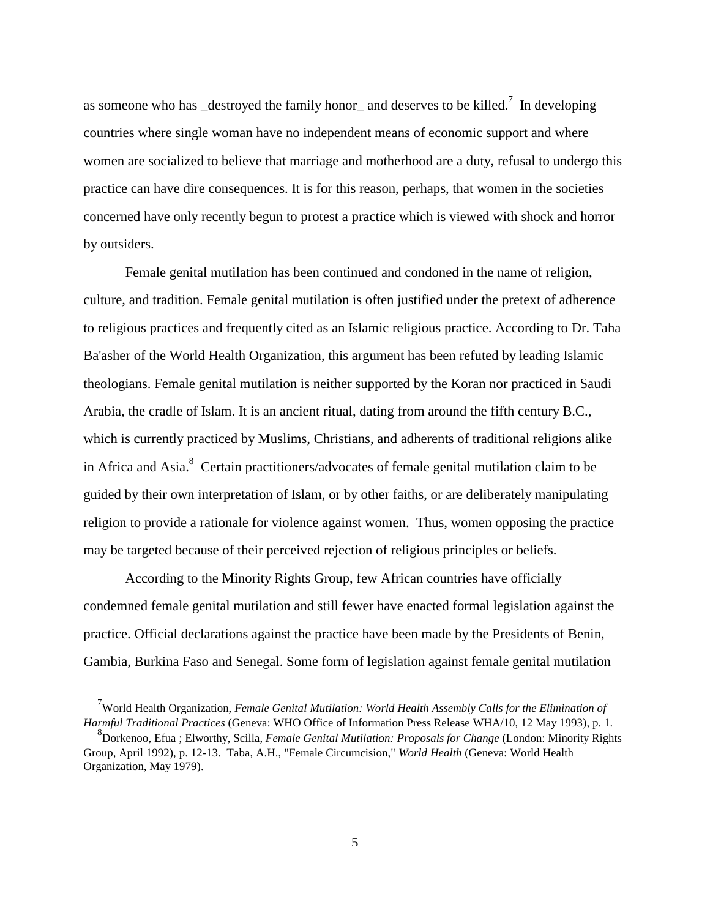as someone who has  $\Delta$  destroyed the family honor  $\Delta$  and deserves to be killed.<sup>7</sup> In developing countries where single woman have no independent means of economic support and where women are socialized to believe that marriage and motherhood are a duty, refusal to undergo this practice can have dire consequences. It is for this reason, perhaps, that women in the societies concerned have only recently begun to protest a practice which is viewed with shock and horror by outsiders.

 Female genital mutilation has been continued and condoned in the name of religion, culture, and tradition. Female genital mutilation is often justified under the pretext of adherence to religious practices and frequently cited as an Islamic religious practice. According to Dr. Taha Ba'asher of the World Health Organization, this argument has been refuted by leading Islamic theologians. Female genital mutilation is neither supported by the Koran nor practiced in Saudi Arabia, the cradle of Islam. It is an ancient ritual, dating from around the fifth century B.C., which is currently practiced by Muslims, Christians, and adherents of traditional religions alike in Africa and Asia. $8$  Certain practitioners/advocates of female genital mutilation claim to be guided by their own interpretation of Islam, or by other faiths, or are deliberately manipulating religion to provide a rationale for violence against women. Thus, women opposing the practice may be targeted because of their perceived rejection of religious principles or beliefs.

 According to the Minority Rights Group, few African countries have officially condemned female genital mutilation and still fewer have enacted formal legislation against the practice. Official declarations against the practice have been made by the Presidents of Benin, Gambia, Burkina Faso and Senegal. Some form of legislation against female genital mutilation

<sup>&</sup>lt;sup>7</sup> World Health Organization, *Female Genital Mutilation: World Health Assembly Calls for the Elimination of Harmful Traditional Practices* (Geneva: WHO Office of Information Press Release WHA/10, 12 May 1993), p. 1.

<sup>8</sup> Dorkenoo, Efua ; Elworthy, Scilla, *Female Genital Mutilation: Proposals for Change* (London: Minority Rights Group, April 1992), p. 12-13. Taba, A.H., "Female Circumcision," *World Health* (Geneva: World Health Organization, May 1979).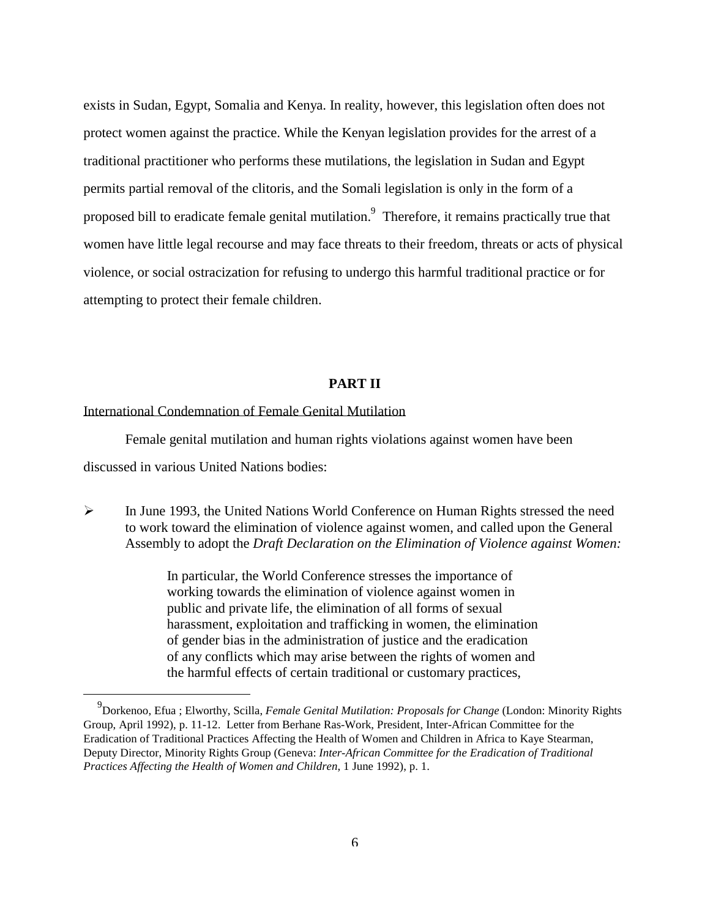exists in Sudan, Egypt, Somalia and Kenya. In reality, however, this legislation often does not protect women against the practice. While the Kenyan legislation provides for the arrest of a traditional practitioner who performs these mutilations, the legislation in Sudan and Egypt permits partial removal of the clitoris, and the Somali legislation is only in the form of a proposed bill to eradicate female genital mutilation. Therefore, it remains practically true that women have little legal recourse and may face threats to their freedom, threats or acts of physical violence, or social ostracization for refusing to undergo this harmful traditional practice or for attempting to protect their female children.

# **PART II**

### International Condemnation of Female Genital Mutilation

j

 Female genital mutilation and human rights violations against women have been discussed in various United Nations bodies:

 In June 1993, the United Nations World Conference on Human Rights stressed the need to work toward the elimination of violence against women, and called upon the General Assembly to adopt the *Draft Declaration on the Elimination of Violence against Women:*

> In particular, the World Conference stresses the importance of working towards the elimination of violence against women in public and private life, the elimination of all forms of sexual harassment, exploitation and trafficking in women, the elimination of gender bias in the administration of justice and the eradication of any conflicts which may arise between the rights of women and the harmful effects of certain traditional or customary practices,

<sup>9</sup> Dorkenoo, Efua ; Elworthy, Scilla, *Female Genital Mutilation: Proposals for Change* (London: Minority Rights Group, April 1992), p. 11-12. Letter from Berhane Ras-Work, President, Inter-African Committee for the Eradication of Traditional Practices Affecting the Health of Women and Children in Africa to Kaye Stearman, Deputy Director, Minority Rights Group (Geneva: *Inter-African Committee for the Eradication of Traditional Practices Affecting the Health of Women and Children*, 1 June 1992), p. 1.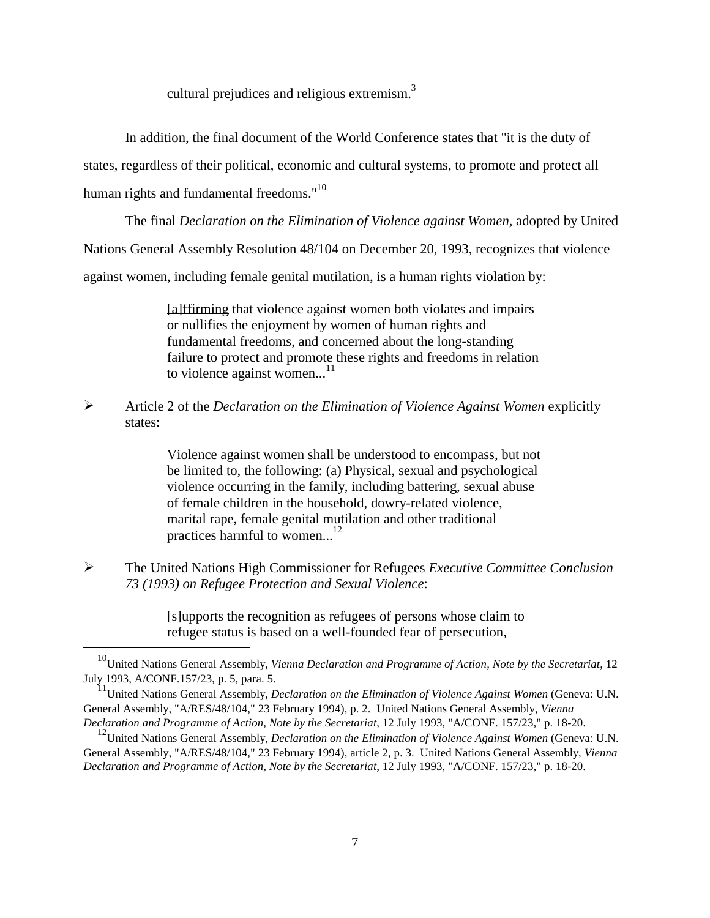cultural prejudices and religious extremism. $3$ 

In addition, the final document of the World Conference states that "it is the duty of

states, regardless of their political, economic and cultural systems, to promote and protect all

human rights and fundamental freedoms."<sup>10</sup>

j

The final *Declaration on the Elimination of Violence against Women*, adopted by United

Nations General Assembly Resolution 48/104 on December 20, 1993, recognizes that violence

against women, including female genital mutilation, is a human rights violation by:

 [a]ffirming that violence against women both violates and impairs or nullifies the enjoyment by women of human rights and fundamental freedoms, and concerned about the long-standing failure to protect and promote these rights and freedoms in relation to violence against women... $^{11}$ 

 Article 2 of the *Declaration on the Elimination of Violence Against Women* explicitly states:

> Violence against women shall be understood to encompass, but not be limited to, the following: (a) Physical, sexual and psychological violence occurring in the family, including battering, sexual abuse of female children in the household, dowry-related violence, marital rape, female genital mutilation and other traditional practices harmful to women...<sup>12</sup>

 The United Nations High Commissioner for Refugees *Executive Committee Conclusion 73 (1993) on Refugee Protection and Sexual Violence*:

> [s]upports the recognition as refugees of persons whose claim to refugee status is based on a well-founded fear of persecution,

10United Nations General Assembly, *Vienna Declaration and Programme of Action, Note by the Secretariat*, 12 July 1993, A/CONF.157/23, p. 5, para. 5.

<sup>&</sup>lt;sup>11</sup>United Nations General Assembly, *Declaration on the Elimination of Violence Against Women* (Geneva: U.N. General Assembly, "A/RES/48/104," 23 February 1994), p. 2. United Nations General Assembly, *Vienna Declaration and Programme of Action, Note by the Secretariat*, 12 July 1993, "A/CONF. 157/23," p. 18-20.

<sup>&</sup>lt;sup>12</sup>United Nations General Assembly, *Declaration on the Elimination of Violence Against Women* (Geneva: U.N. General Assembly, "A/RES/48/104," 23 February 1994), article 2, p. 3. United Nations General Assembly, *Vienna Declaration and Programme of Action, Note by the Secretariat*, 12 July 1993, "A/CONF. 157/23," p. 18-20.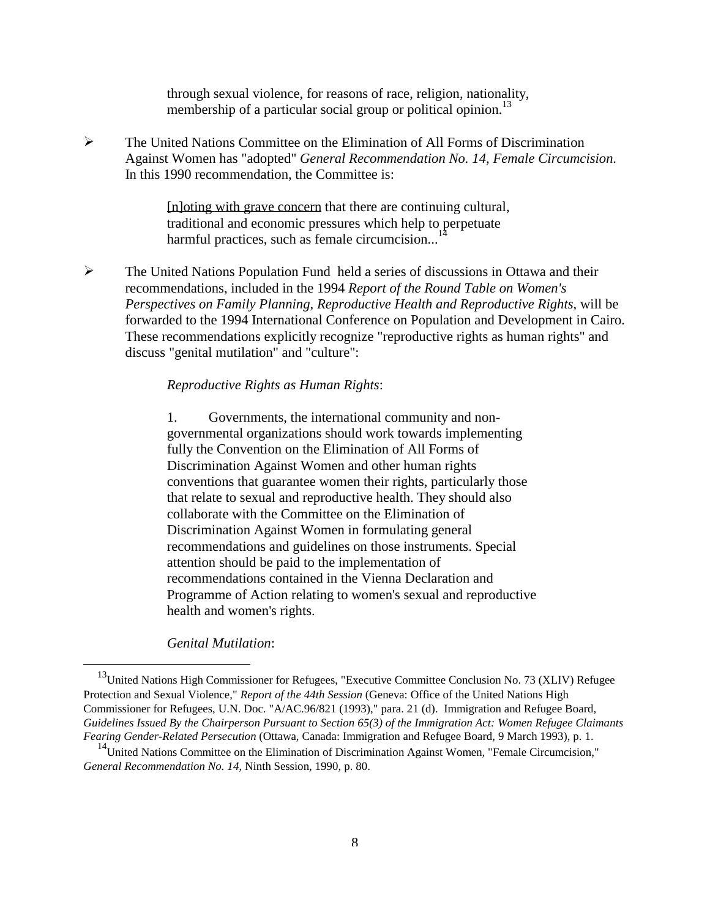through sexual violence, for reasons of race, religion, nationality, membership of a particular social group or political opinion.<sup>13</sup>

 The United Nations Committee on the Elimination of All Forms of Discrimination Against Women has "adopted" *General Recommendation No. 14, Female Circumcision*. In this 1990 recommendation, the Committee is:

> [n]oting with grave concern that there are continuing cultural, traditional and economic pressures which help to perpetuate harmful practices, such as female circumcision... $\frac{1}{4}$

 $\triangleright$  The United Nations Population Fund held a series of discussions in Ottawa and their recommendations, included in the 1994 *Report of the Round Table on Women's Perspectives on Family Planning, Reproductive Health and Reproductive Rights*, will be forwarded to the 1994 International Conference on Population and Development in Cairo. These recommendations explicitly recognize "reproductive rights as human rights" and discuss "genital mutilation" and "culture":

# *Reproductive Rights as Human Rights*:

 1. Governments, the international community and nongovernmental organizations should work towards implementing fully the Convention on the Elimination of All Forms of Discrimination Against Women and other human rights conventions that guarantee women their rights, particularly those that relate to sexual and reproductive health. They should also collaborate with the Committee on the Elimination of Discrimination Against Women in formulating general recommendations and guidelines on those instruments. Special attention should be paid to the implementation of recommendations contained in the Vienna Declaration and Programme of Action relating to women's sexual and reproductive health and women's rights.

 *Genital Mutilation*:

<sup>&</sup>lt;sup>13</sup>United Nations High Commissioner for Refugees, "Executive Committee Conclusion No. 73 (XLIV) Refugee Protection and Sexual Violence," *Report of the 44th Session* (Geneva: Office of the United Nations High Commissioner for Refugees, U.N. Doc. "A/AC.96/821 (1993)," para. 21 (d). Immigration and Refugee Board, *Guidelines Issued By the Chairperson Pursuant to Section 65(3) of the Immigration Act: Women Refugee Claimants Fearing Gender-Related Persecution* (Ottawa, Canada: Immigration and Refugee Board, 9 March 1993), p. 1.

<sup>&</sup>lt;sup>14</sup>United Nations Committee on the Elimination of Discrimination Against Women, "Female Circumcision," *General Recommendation No. 14*, Ninth Session, 1990, p. 80.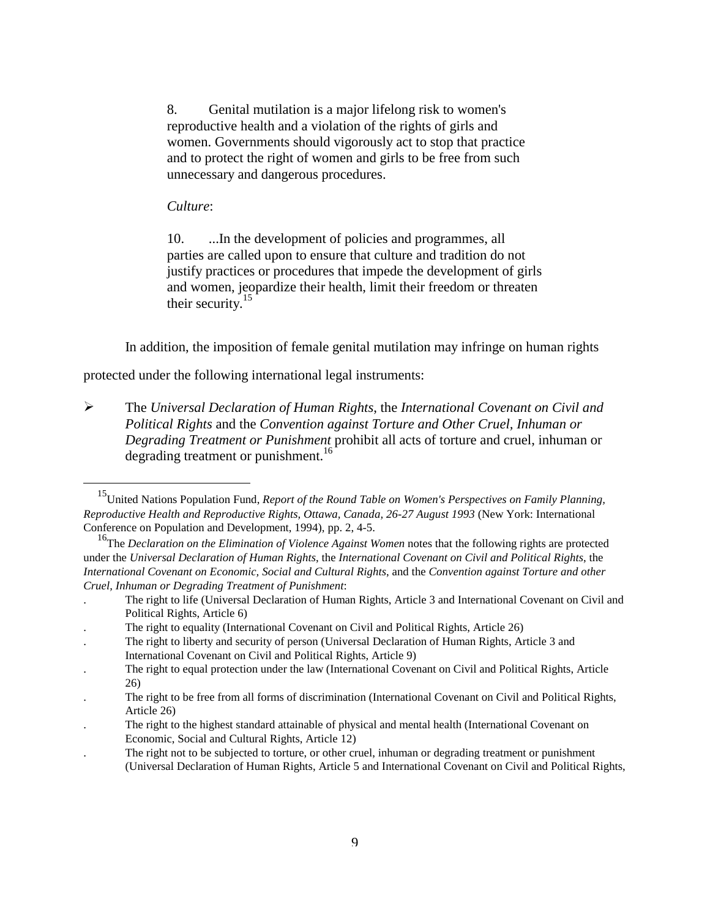8. Genital mutilation is a major lifelong risk to women's reproductive health and a violation of the rights of girls and women. Governments should vigorously act to stop that practice and to protect the right of women and girls to be free from such unnecessary and dangerous procedures.

# *Culture*:

j

 10. ...In the development of policies and programmes, all parties are called upon to ensure that culture and tradition do not justify practices or procedures that impede the development of girls and women, jeopardize their health, limit their freedom or threaten their security. $<sup>1</sup>$ </sup>

In addition, the imposition of female genital mutilation may infringe on human rights

protected under the following international legal instruments:

 The *Universal Declaration of Human Rights*, the *International Covenant on Civil and Political Rights* and the *Convention against Torture and Other Cruel, Inhuman or Degrading Treatment or Punishment* prohibit all acts of torture and cruel, inhuman or degrading treatment or punishment.<sup>16</sup>

15United Nations Population Fund, *Report of the Round Table on Women's Perspectives on Family Planning, Reproductive Health and Reproductive Rights, Ottawa, Canada, 26-27 August 1993* (New York: International Conference on Population and Development, 1994), pp. 2, 4-5.

<sup>&</sup>lt;sup>16</sup>The *Declaration on the Elimination of Violence Against Women* notes that the following rights are protected under the *Universal Declaration of Human Rights*, the *International Covenant on Civil and Political Rights*, the *International Covenant on Economic, Social and Cultural Rights*, and the *Convention against Torture and other Cruel, Inhuman or Degrading Treatment of Punishment*:

<sup>.</sup> The right to life (Universal Declaration of Human Rights, Article 3 and International Covenant on Civil and Political Rights, Article 6)

<sup>.</sup> The right to equality (International Covenant on Civil and Political Rights, Article 26)

<sup>.</sup> The right to liberty and security of person (Universal Declaration of Human Rights, Article 3 and International Covenant on Civil and Political Rights, Article 9)

<sup>.</sup> The right to equal protection under the law (International Covenant on Civil and Political Rights, Article 26)

<sup>.</sup> The right to be free from all forms of discrimination (International Covenant on Civil and Political Rights, Article 26)

<sup>.</sup> The right to the highest standard attainable of physical and mental health (International Covenant on Economic, Social and Cultural Rights, Article 12)

<sup>.</sup> The right not to be subjected to torture, or other cruel, inhuman or degrading treatment or punishment (Universal Declaration of Human Rights, Article 5 and International Covenant on Civil and Political Rights,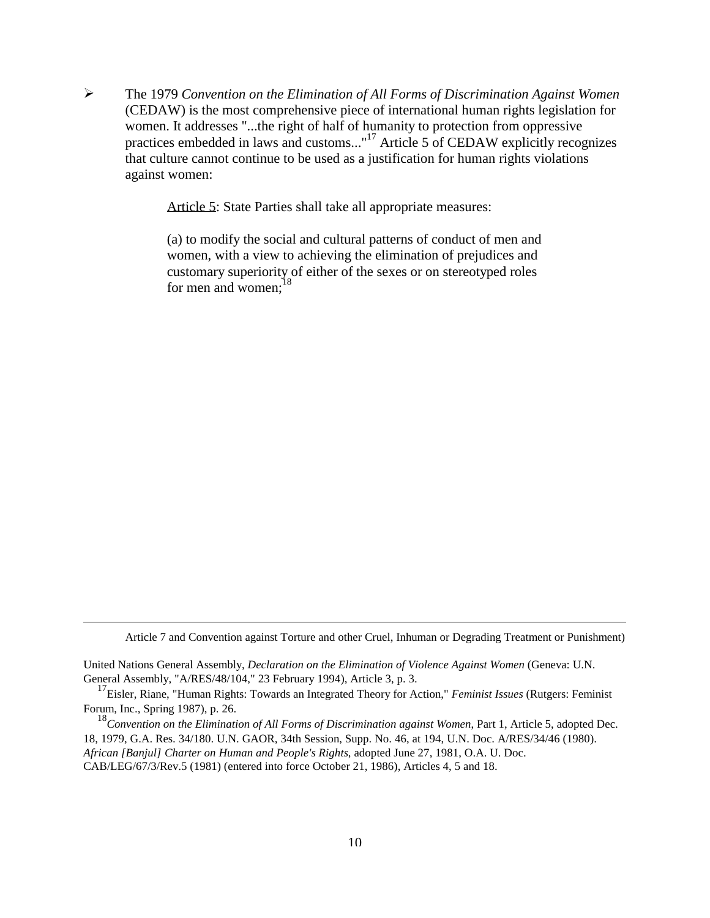The 1979 *Convention on the Elimination of All Forms of Discrimination Against Women* (CEDAW) is the most comprehensive piece of international human rights legislation for women. It addresses "...the right of half of humanity to protection from oppressive practices embedded in laws and customs..."17 Article 5 of CEDAW explicitly recognizes that culture cannot continue to be used as a justification for human rights violations against women:

Article 5: State Parties shall take all appropriate measures:

 (a) to modify the social and cultural patterns of conduct of men and women, with a view to achieving the elimination of prejudices and customary superiority of either of the sexes or on stereotyped roles for men and women: $18$ 

Article 7 and Convention against Torture and other Cruel, Inhuman or Degrading Treatment or Punishment)

United Nations General Assembly, *Declaration on the Elimination of Violence Against Women* (Geneva: U.N. General Assembly, "A/RES/48/104," 23 February 1994), Article 3, p. 3.

j

 17Eisler, Riane, "Human Rights: Towards an Integrated Theory for Action," *Feminist Issues* (Rutgers: Feminist Forum, Inc., Spring 1987), p. 26.

 <sup>18</sup>*Convention on the Elimination of All Forms of Discrimination against Women*, Part 1, Article 5, adopted Dec. 18, 1979, G.A. Res. 34/180. U.N. GAOR, 34th Session, Supp. No. 46, at 194, U.N. Doc. A/RES/34/46 (1980). *African [Banjul] Charter on Human and People's Rights*, adopted June 27, 1981, O.A. U. Doc. CAB/LEG/67/3/Rev.5 (1981) (entered into force October 21, 1986), Articles 4, 5 and 18.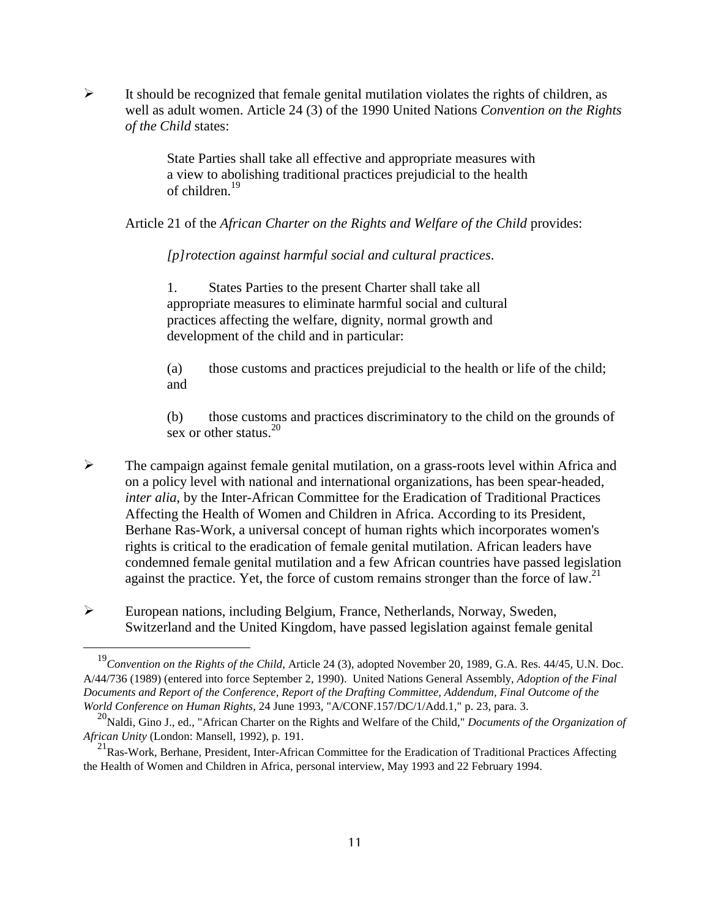$\triangleright$  It should be recognized that female genital mutilation violates the rights of children, as well as adult women. Article 24 (3) of the 1990 United Nations *Convention on the Rights of the Child* states:

> State Parties shall take all effective and appropriate measures with a view to abolishing traditional practices prejudicial to the health of children.19

Article 21 of the *African Charter on the Rights and Welfare of the Child* provides:

 *[p]rotection against harmful social and cultural practices*.

 1. States Parties to the present Charter shall take all appropriate measures to eliminate harmful social and cultural practices affecting the welfare, dignity, normal growth and development of the child and in particular:

 (a) those customs and practices prejudicial to the health or life of the child; and

 (b) those customs and practices discriminatory to the child on the grounds of sex or other status. $20$ 

- $\triangleright$  The campaign against female genital mutilation, on a grass-roots level within Africa and on a policy level with national and international organizations, has been spear-headed, *inter alia*, by the Inter-African Committee for the Eradication of Traditional Practices Affecting the Health of Women and Children in Africa. According to its President, Berhane Ras-Work, a universal concept of human rights which incorporates women's rights is critical to the eradication of female genital mutilation. African leaders have condemned female genital mutilation and a few African countries have passed legislation against the practice. Yet, the force of custom remains stronger than the force of  $\text{law}^2$ .
- European nations, including Belgium, France, Netherlands, Norway, Sweden, Switzerland and the United Kingdom, have passed legislation against female genital

<sup>&</sup>lt;sup>19</sup>Convention on the Rights of the Child, Article 24 (3), adopted November 20, 1989, G.A. Res. 44/45, U.N. Doc. A/44/736 (1989) (entered into force September 2, 1990). United Nations General Assembly, *Adoption of the Final Documents and Report of the Conference, Report of the Drafting Committee, Addendum, Final Outcome of the World Conference on Human Rights*, 24 June 1993, "A/CONF.157/DC/1/Add.1," p. 23, para. 3.

<sup>&</sup>lt;sup>20</sup>Naldi, Gino J., ed., "African Charter on the Rights and Welfare of the Child," *Documents of the Organization of African Unity* (London: Mansell, 1992), p. 191.

<sup>&</sup>lt;sup>21</sup>Ras-Work, Berhane, President, Inter-African Committee for the Eradication of Traditional Practices Affecting the Health of Women and Children in Africa, personal interview, May 1993 and 22 February 1994.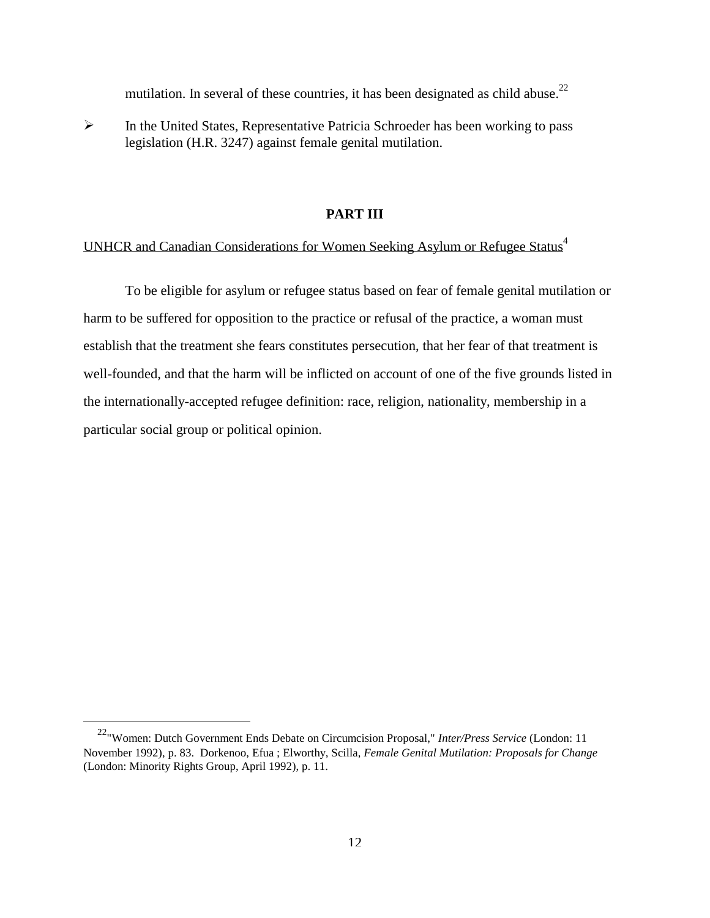mutilation. In several of these countries, it has been designated as child abuse.<sup>22</sup>

 $\triangleright$  In the United States, Representative Patricia Schroeder has been working to pass legislation (H.R. 3247) against female genital mutilation.

#### **PART III**

# UNHCR and Canadian Considerations for Women Seeking Asylum or Refugee Status[4](#page-23-0)

 To be eligible for asylum or refugee status based on fear of female genital mutilation or harm to be suffered for opposition to the practice or refusal of the practice, a woman must establish that the treatment she fears constitutes persecution, that her fear of that treatment is well-founded, and that the harm will be inflicted on account of one of the five grounds listed in the internationally-accepted refugee definition: race, religion, nationality, membership in a particular social group or political opinion.

22"Women: Dutch Government Ends Debate on Circumcision Proposal," *Inter/Press Service* (London: 11 November 1992), p. 83. Dorkenoo, Efua ; Elworthy, Scilla, *Female Genital Mutilation: Proposals for Change* (London: Minority Rights Group, April 1992), p. 11.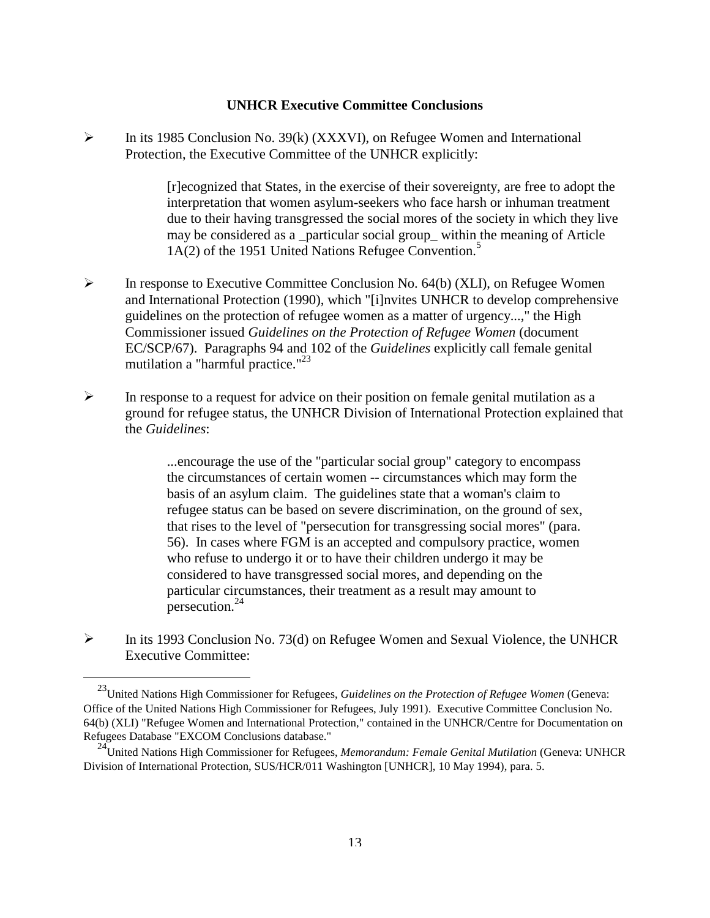### **UNHCR Executive Committee Conclusions**

 $\triangleright$  In its 1985 Conclusion No. 39(k) (XXXVI), on Refugee Women and International Protection, the Executive Committee of the UNHCR explicitly:

> [r]ecognized that States, in the exercise of their sovereignty, are free to adopt the interpretation that women asylum-seekers who face harsh or inhuman treatment due to their having transgressed the social mores of the society in which they live may be considered as a \_particular social group\_ withi[n th](#page-23-0)e meaning of Article  $1A(2)$  of the 1951 United Nations Refugee Convention.<sup>5</sup>

- $\triangleright$  In response to Executive Committee Conclusion No. 64(b) (XLI), on Refugee Women and International Protection (1990), which "[i]nvites UNHCR to develop comprehensive guidelines on the protection of refugee women as a matter of urgency...," the High Commissioner issued *Guidelines on the Protection of Refugee Women* (document EC/SCP/67). Paragraphs 94 and 102 of the *Guidelines* explicitly call female genital mutilation a "harmful practice."<sup>23</sup>
- $\triangleright$  In response to a request for advice on their position on female genital mutilation as a ground for refugee status, the UNHCR Division of International Protection explained that the *Guidelines*:

 ...encourage the use of the "particular social group" category to encompass the circumstances of certain women -- circumstances which may form the basis of an asylum claim. The guidelines state that a woman's claim to refugee status can be based on severe discrimination, on the ground of sex, that rises to the level of "persecution for transgressing social mores" (para. 56). In cases where FGM is an accepted and compulsory practice, women who refuse to undergo it or to have their children undergo it may be considered to have transgressed social mores, and depending on the particular circumstances, their treatment as a result may amount to persecution.24

 $\triangleright$  In its 1993 Conclusion No. 73(d) on Refugee Women and Sexual Violence, the UNHCR Executive Committee:

23United Nations High Commissioner for Refugees, *Guidelines on the Protection of Refugee Women* (Geneva: Office of the United Nations High Commissioner for Refugees, July 1991). Executive Committee Conclusion No. 64(b) (XLI) "Refugee Women and International Protection," contained in the UNHCR/Centre for Documentation on Refugees Database "EXCOM Conclusions database."

24United Nations High Commissioner for Refugees, *Memorandum: Female Genital Mutilation* (Geneva: UNHCR Division of International Protection, SUS/HCR/011 Washington [UNHCR], 10 May 1994), para. 5.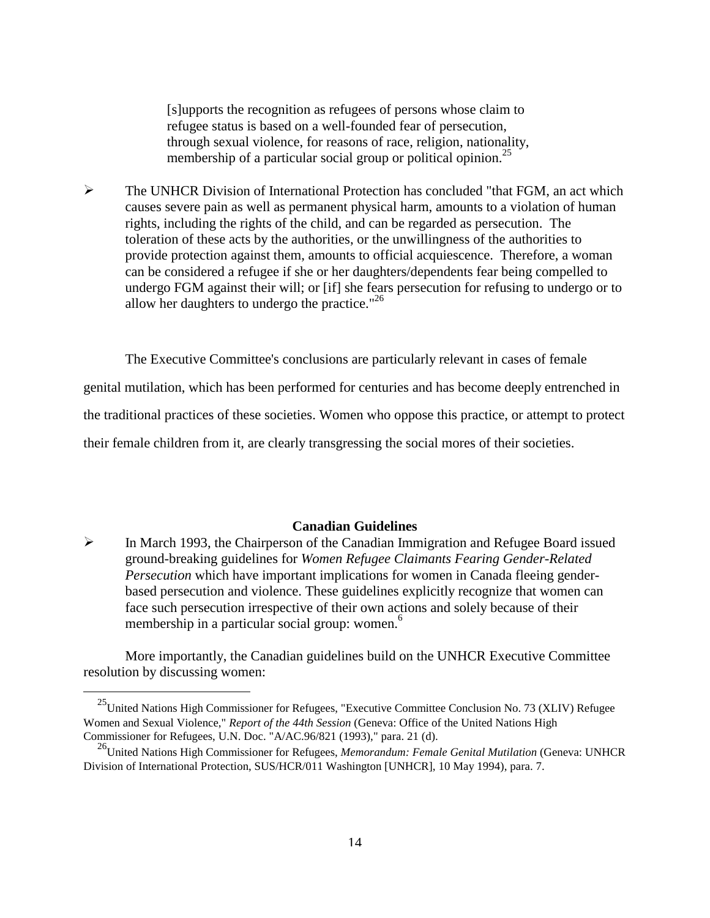[s]upports the recognition as refugees of persons whose claim to refugee status is based on a well-founded fear of persecution, through sexual violence, for reasons of race, religion, nationality, membership of a particular social group or political opinion.<sup>25</sup>

 $\triangleright$  The UNHCR Division of International Protection has concluded "that FGM, an act which causes severe pain as well as permanent physical harm, amounts to a violation of human rights, including the rights of the child, and can be regarded as persecution. The toleration of these acts by the authorities, or the unwillingness of the authorities to provide protection against them, amounts to official acquiescence. Therefore, a woman can be considered a refugee if she or her daughters/dependents fear being compelled to undergo FGM against their will; or [if] she fears persecution for refusing to undergo or to allow her daughters to undergo the practice."<sup>26</sup>

 The Executive Committee's conclusions are particularly relevant in cases of female genital mutilation, which has been performed for centuries and has become deeply entrenched in the traditional practices of these societies. Women who oppose this practice, or attempt to protect their female children from it, are clearly transgressing the social mores of their societies.

# **Canadian Guidelines**

 $\triangleright$  In March 1993, the Chairperson of the Canadian Immigration and Refugee Board issued ground-breaking guidelines for *Women Refugee Claimants Fearing Gender-Related Persecution* which have important implications for women in Canada fleeing genderbased persecution and violence. These guidelines explicitly recognize that women can face such persecution irrespective of their own a[cti](#page-23-0)ons and solely because of their membership in a particular social group: women.<sup>6</sup>

 More importantly, the Canadian guidelines build on the UNHCR Executive Committee resolution by discussing women:

<sup>&</sup>lt;sup>25</sup>United Nations High Commissioner for Refugees, "Executive Committee Conclusion No. 73 (XLIV) Refugee Women and Sexual Violence," *Report of the 44th Session* (Geneva: Office of the United Nations High Commissioner for Refugees, U.N. Doc. "A/AC.96/821 (1993)," para. 21 (d).

26United Nations High Commissioner for Refugees, *Memorandum: Female Genital Mutilation* (Geneva: UNHCR Division of International Protection, SUS/HCR/011 Washington [UNHCR], 10 May 1994), para. 7.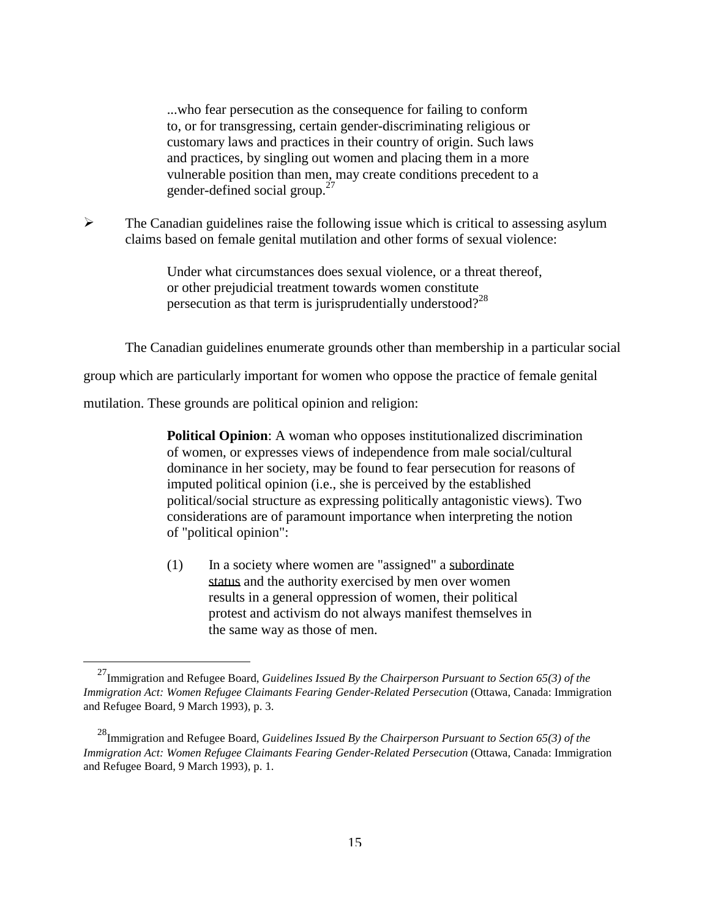...who fear persecution as the consequence for failing to conform to, or for transgressing, certain gender-discriminating religious or customary laws and practices in their country of origin. Such laws and practices, by singling out women and placing them in a more vulnerable position than men, may create conditions precedent to a gender-defined social group. $27$ 

 $\triangleright$  The Canadian guidelines raise the following issue which is critical to assessing asylum claims based on female genital mutilation and other forms of sexual violence:

> Under what circumstances does sexual violence, or a threat thereof, or other prejudicial treatment towards women constitute persecution as that term is jurisprudentially understood?<sup>28</sup>

The Canadian guidelines enumerate grounds other than membership in a particular social

group which are particularly important for women who oppose the practice of female genital

mutilation. These grounds are political opinion and religion:

j

**Political Opinion:** A woman who opposes institutionalized discrimination of women, or expresses views of independence from male social/cultural dominance in her society, may be found to fear persecution for reasons of imputed political opinion (i.e., she is perceived by the established political/social structure as expressing politically antagonistic views). Two considerations are of paramount importance when interpreting the notion of "political opinion":

 (1) In a society where women are "assigned" a subordinate status and the authority exercised by men over women results in a general oppression of women, their political protest and activism do not always manifest themselves in the same way as those of men.

27Immigration and Refugee Board, *Guidelines Issued By the Chairperson Pursuant to Section 65(3) of the Immigration Act: Women Refugee Claimants Fearing Gender-Related Persecution* (Ottawa, Canada: Immigration and Refugee Board, 9 March 1993), p. 3.

28Immigration and Refugee Board, *Guidelines Issued By the Chairperson Pursuant to Section 65(3) of the Immigration Act: Women Refugee Claimants Fearing Gender-Related Persecution* (Ottawa, Canada: Immigration and Refugee Board, 9 March 1993), p. 1.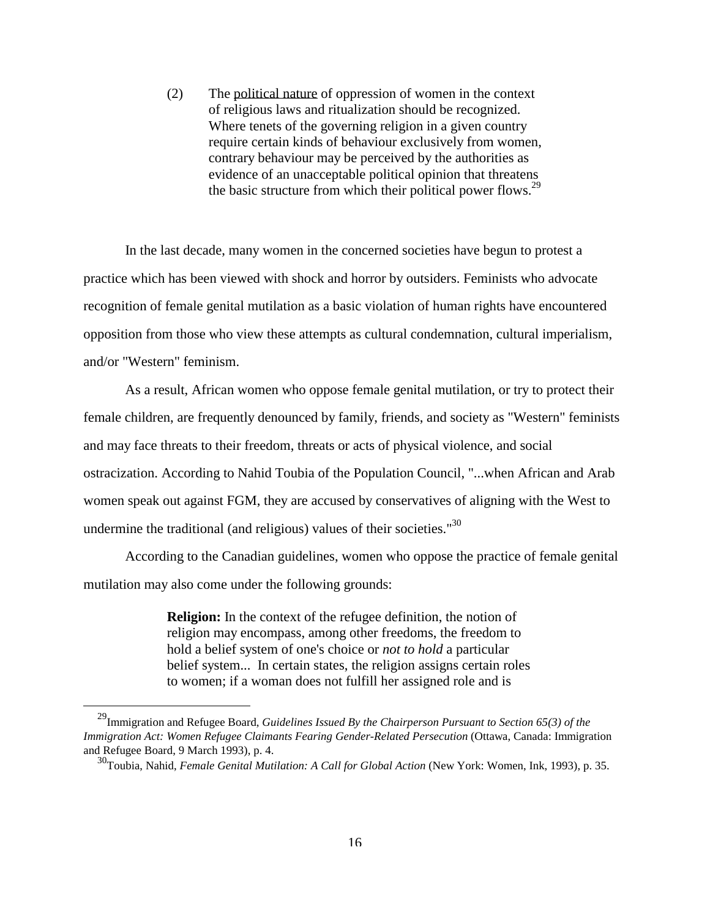(2) The political nature of oppression of women in the context of religious laws and ritualization should be recognized. Where tenets of the governing religion in a given country require certain kinds of behaviour exclusively from women, contrary behaviour may be perceived by the authorities as evidence of an unacceptable political opinion that threatens the basic structure from which their political power flows.<sup>29</sup>

 In the last decade, many women in the concerned societies have begun to protest a practice which has been viewed with shock and horror by outsiders. Feminists who advocate recognition of female genital mutilation as a basic violation of human rights have encountered opposition from those who view these attempts as cultural condemnation, cultural imperialism, and/or "Western" feminism.

 As a result, African women who oppose female genital mutilation, or try to protect their female children, are frequently denounced by family, friends, and society as "Western" feminists and may face threats to their freedom, threats or acts of physical violence, and social ostracization. According to Nahid Toubia of the Population Council, "...when African and Arab women speak out against FGM, they are accused by conservatives of aligning with the West to undermine the traditional (and religious) values of their societies."30

 According to the Canadian guidelines, women who oppose the practice of female genital mutilation may also come under the following grounds:

> **Religion:** In the context of the refugee definition, the notion of religion may encompass, among other freedoms, the freedom to hold a belief system of one's choice or *not to hold* a particular belief system... In certain states, the religion assigns certain roles to women; if a woman does not fulfill her assigned role and is

29Immigration and Refugee Board, *Guidelines Issued By the Chairperson Pursuant to Section 65(3) of the Immigration Act: Women Refugee Claimants Fearing Gender-Related Persecution* (Ottawa, Canada: Immigration and Refugee Board, 9 March 1993), p. 4.

30Toubia, Nahid, *Female Genital Mutilation: A Call for Global Action* (New York: Women, Ink, 1993), p. 35.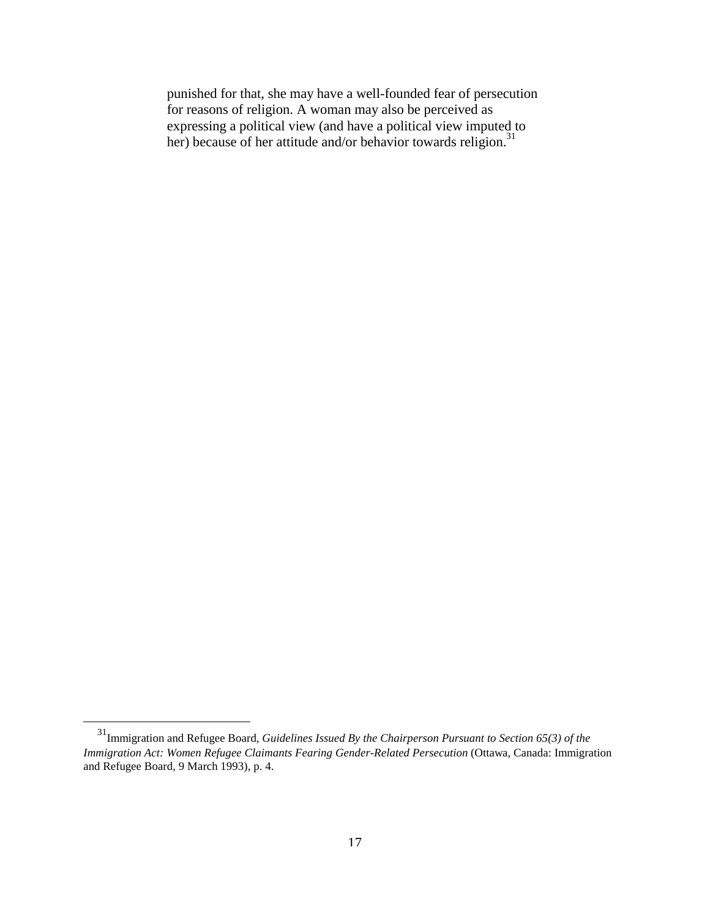punished for that, she may have a well-founded fear of persecution for reasons of religion. A woman may also be perceived as expressing a political view (and have a political view imputed to her) because of her attitude and/or behavior towards religion.<sup>31</sup>

31Immigration and Refugee Board, *Guidelines Issued By the Chairperson Pursuant to Section 65(3) of the Immigration Act: Women Refugee Claimants Fearing Gender-Related Persecution* (Ottawa, Canada: Immigration and Refugee Board, 9 March 1993), p. 4.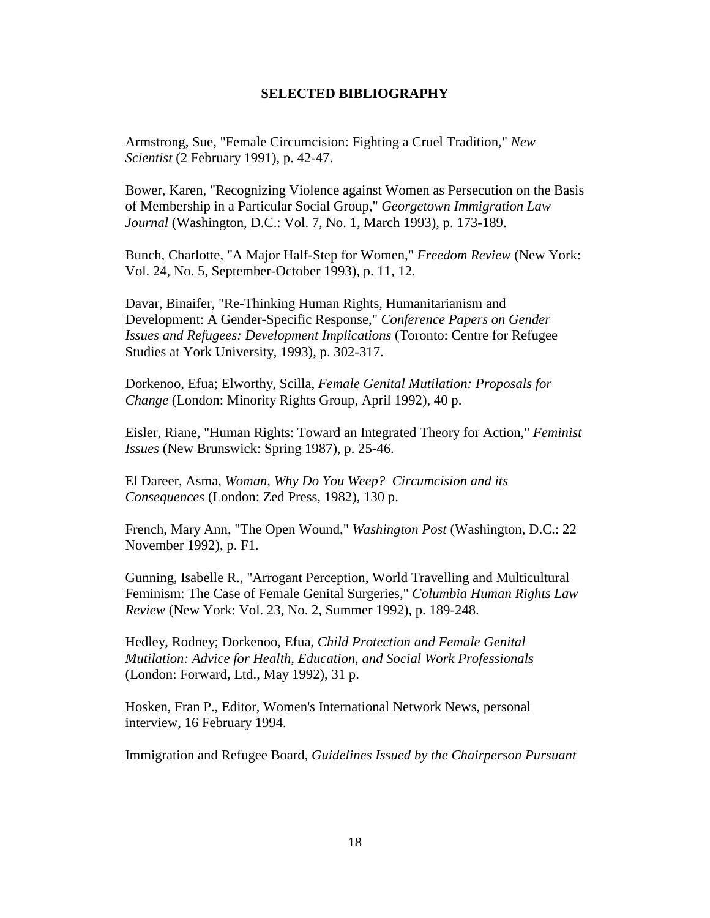### **SELECTED BIBLIOGRAPHY**

 Armstrong, Sue, "Female Circumcision: Fighting a Cruel Tradition," *New Scientist* (2 February 1991), p. 42-47.

 Bower, Karen, "Recognizing Violence against Women as Persecution on the Basis of Membership in a Particular Social Group," *Georgetown Immigration Law Journal* (Washington, D.C.: Vol. 7, No. 1, March 1993), p. 173-189.

 Bunch, Charlotte, "A Major Half-Step for Women," *Freedom Review* (New York: Vol. 24, No. 5, September-October 1993), p. 11, 12.

 Davar, Binaifer, "Re-Thinking Human Rights, Humanitarianism and Development: A Gender-Specific Response," *Conference Papers on Gender Issues and Refugees: Development Implications* (Toronto: Centre for Refugee Studies at York University, 1993), p. 302-317.

 Dorkenoo, Efua; Elworthy, Scilla, *Female Genital Mutilation: Proposals for Change* (London: Minority Rights Group, April 1992), 40 p.

 Eisler, Riane, "Human Rights: Toward an Integrated Theory for Action," *Feminist Issues* (New Brunswick: Spring 1987), p. 25-46.

 El Dareer, Asma, *Woman, Why Do You Weep? Circumcision and its Consequences* (London: Zed Press, 1982), 130 p.

 French, Mary Ann, "The Open Wound," *Washington Post* (Washington, D.C.: 22 November 1992), p. F1.

 Gunning, Isabelle R., "Arrogant Perception, World Travelling and Multicultural Feminism: The Case of Female Genital Surgeries," *Columbia Human Rights Law Review* (New York: Vol. 23, No. 2, Summer 1992), p. 189-248.

 Hedley, Rodney; Dorkenoo, Efua, *Child Protection and Female Genital Mutilation: Advice for Health, Education, and Social Work Professionals* (London: Forward, Ltd., May 1992), 31 p.

 Hosken, Fran P., Editor, Women's International Network News, personal interview, 16 February 1994.

Immigration and Refugee Board, *Guidelines Issued by the Chairperson Pursuant*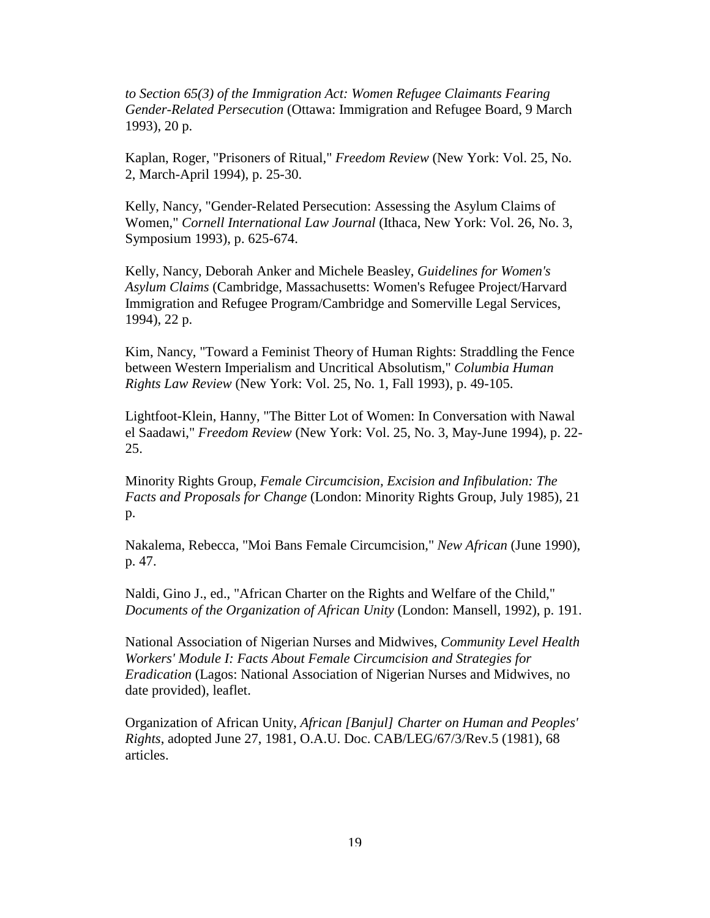*to Section 65(3) of the Immigration Act: Women Refugee Claimants Fearing Gender-Related Persecution* (Ottawa: Immigration and Refugee Board, 9 March 1993), 20 p.

 Kaplan, Roger, "Prisoners of Ritual," *Freedom Review* (New York: Vol. 25, No. 2, March-April 1994), p. 25-30.

 Kelly, Nancy, "Gender-Related Persecution: Assessing the Asylum Claims of Women," *Cornell International Law Journal* (Ithaca, New York: Vol. 26, No. 3, Symposium 1993), p. 625-674.

 Kelly, Nancy, Deborah Anker and Michele Beasley, *Guidelines for Women's Asylum Claims* (Cambridge, Massachusetts: Women's Refugee Project/Harvard Immigration and Refugee Program/Cambridge and Somerville Legal Services, 1994), 22 p.

 Kim, Nancy, "Toward a Feminist Theory of Human Rights: Straddling the Fence between Western Imperialism and Uncritical Absolutism," *Columbia Human Rights Law Review* (New York: Vol. 25, No. 1, Fall 1993), p. 49-105.

 Lightfoot-Klein, Hanny, "The Bitter Lot of Women: In Conversation with Nawal el Saadawi," *Freedom Review* (New York: Vol. 25, No. 3, May-June 1994), p. 22- 25.

 Minority Rights Group, *Female Circumcision, Excision and Infibulation: The Facts and Proposals for Change* (London: Minority Rights Group, July 1985), 21 p.

 Nakalema, Rebecca, "Moi Bans Female Circumcision," *New African* (June 1990), p. 47.

 Naldi, Gino J., ed., "African Charter on the Rights and Welfare of the Child," *Documents of the Organization of African Unity* (London: Mansell, 1992), p. 191.

 National Association of Nigerian Nurses and Midwives, *Community Level Health Workers' Module I: Facts About Female Circumcision and Strategies for Eradication* (Lagos: National Association of Nigerian Nurses and Midwives, no date provided), leaflet.

 Organization of African Unity, *African [Banjul] Charter on Human and Peoples' Rights*, adopted June 27, 1981, O.A.U. Doc. CAB/LEG/67/3/Rev.5 (1981), 68 articles.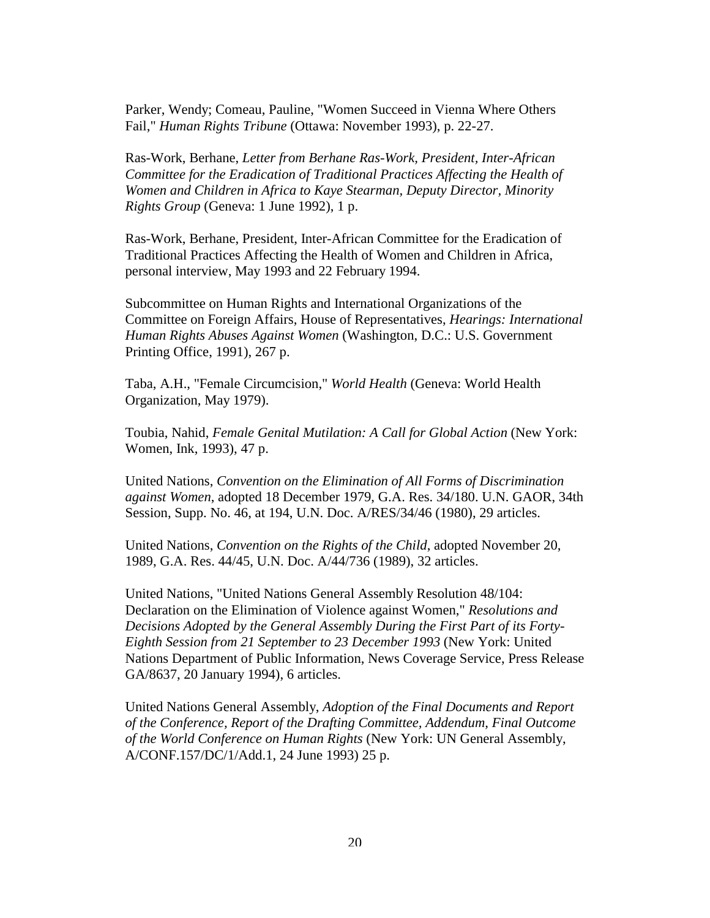Parker, Wendy; Comeau, Pauline, "Women Succeed in Vienna Where Others Fail," *Human Rights Tribune* (Ottawa: November 1993), p. 22-27.

 Ras-Work, Berhane, *Letter from Berhane Ras-Work, President, Inter-African Committee for the Eradication of Traditional Practices Affecting the Health of Women and Children in Africa to Kaye Stearman, Deputy Director, Minority Rights Group* (Geneva: 1 June 1992), 1 p.

 Ras-Work, Berhane, President, Inter-African Committee for the Eradication of Traditional Practices Affecting the Health of Women and Children in Africa, personal interview, May 1993 and 22 February 1994.

 Subcommittee on Human Rights and International Organizations of the Committee on Foreign Affairs, House of Representatives, *Hearings: International Human Rights Abuses Against Women* (Washington, D.C.: U.S. Government Printing Office, 1991), 267 p.

 Taba, A.H., "Female Circumcision," *World Health* (Geneva: World Health Organization, May 1979).

 Toubia, Nahid, *Female Genital Mutilation: A Call for Global Action* (New York: Women, Ink, 1993), 47 p.

 United Nations, *Convention on the Elimination of All Forms of Discrimination against Women*, adopted 18 December 1979, G.A. Res. 34/180. U.N. GAOR, 34th Session, Supp. No. 46, at 194, U.N. Doc. A/RES/34/46 (1980), 29 articles.

 United Nations, *Convention on the Rights of the Child*, adopted November 20, 1989, G.A. Res. 44/45, U.N. Doc. A/44/736 (1989), 32 articles.

 United Nations, "United Nations General Assembly Resolution 48/104: Declaration on the Elimination of Violence against Women," *Resolutions and Decisions Adopted by the General Assembly During the First Part of its Forty-Eighth Session from 21 September to 23 December 1993* (New York: United Nations Department of Public Information, News Coverage Service, Press Release GA/8637, 20 January 1994), 6 articles.

 United Nations General Assembly, *Adoption of the Final Documents and Report of the Conference, Report of the Drafting Committee, Addendum, Final Outcome of the World Conference on Human Rights* (New York: UN General Assembly, A/CONF.157/DC/1/Add.1, 24 June 1993) 25 p.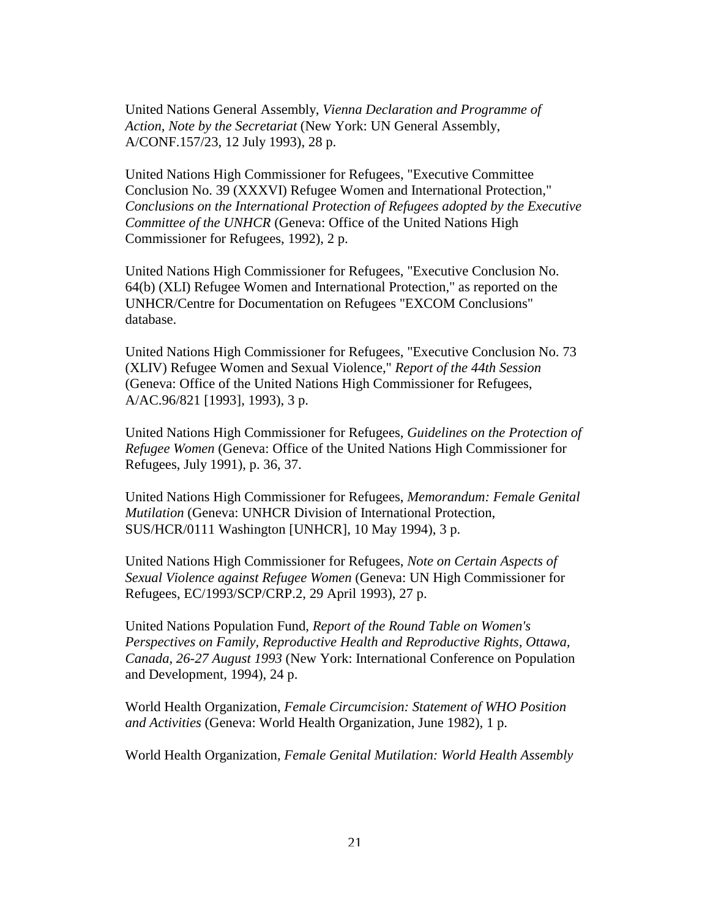United Nations General Assembly, *Vienna Declaration and Programme of Action, Note by the Secretariat* (New York: UN General Assembly, A/CONF.157/23, 12 July 1993), 28 p.

 United Nations High Commissioner for Refugees, "Executive Committee Conclusion No. 39 (XXXVI) Refugee Women and International Protection," *Conclusions on the International Protection of Refugees adopted by the Executive Committee of the UNHCR* (Geneva: Office of the United Nations High Commissioner for Refugees, 1992), 2 p.

 United Nations High Commissioner for Refugees, "Executive Conclusion No. 64(b) (XLI) Refugee Women and International Protection," as reported on the UNHCR/Centre for Documentation on Refugees "EXCOM Conclusions" database.

 United Nations High Commissioner for Refugees, "Executive Conclusion No. 73 (XLIV) Refugee Women and Sexual Violence," *Report of the 44th Session* (Geneva: Office of the United Nations High Commissioner for Refugees, A/AC.96/821 [1993], 1993), 3 p.

 United Nations High Commissioner for Refugees, *Guidelines on the Protection of Refugee Women* (Geneva: Office of the United Nations High Commissioner for Refugees, July 1991), p. 36, 37.

 United Nations High Commissioner for Refugees, *Memorandum: Female Genital Mutilation* (Geneva: UNHCR Division of International Protection, SUS/HCR/0111 Washington [UNHCR], 10 May 1994), 3 p.

 United Nations High Commissioner for Refugees, *Note on Certain Aspects of Sexual Violence against Refugee Women* (Geneva: UN High Commissioner for Refugees, EC/1993/SCP/CRP.2, 29 April 1993), 27 p.

 United Nations Population Fund, *Report of the Round Table on Women's Perspectives on Family, Reproductive Health and Reproductive Rights, Ottawa, Canada, 26-27 August 1993* (New York: International Conference on Population and Development, 1994), 24 p.

 World Health Organization, *Female Circumcision: Statement of WHO Position and Activities* (Geneva: World Health Organization, June 1982), 1 p.

World Health Organization, *Female Genital Mutilation: World Health Assembly*